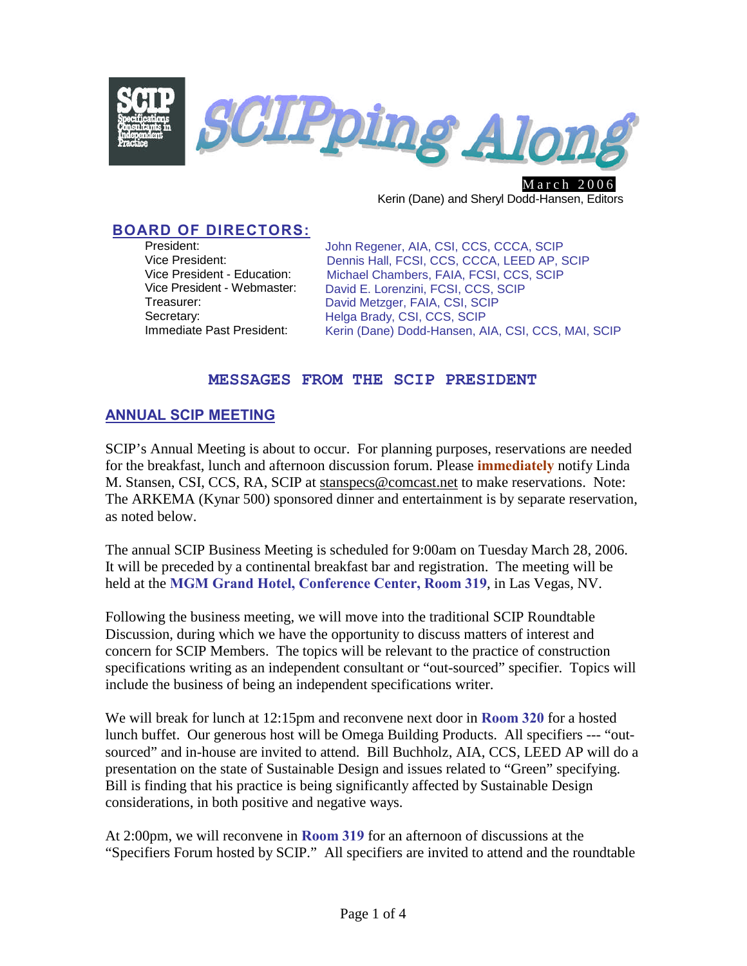

March 2006 Kerin (Dane) and Sheryl Dodd-Hansen, Editors

# **BOARD OF DIRECTORS:**

President: Vice President: Vice President - Education: Vice President - Webmaster: Treasurer: Secretary: Immediate Past President:

John Regener, AIA, CSI, CCS, CCCA, SCIP Dennis Hall, FCSI, CCS, CCCA, LEED AP, SCIP Michael Chambers, FAIA, FCSI, CCS, SCIP David E. Lorenzini, FCSI, CCS, SCIP David Metzger, FAIA, CSI, SCIP Helga Brady, CSI, CCS, SCIP Kerin (Dane) Dodd-Hansen, AIA, CSI, CCS, MAI, SCIP

#### **MESSAGES FROM THE SCIP PRESIDENT**

### **ANNUAL SCIP MEETING**

SCIP's Annual Meeting is about to occur. For planning purposes, reservations are needed for the breakfast, lunch and afternoon discussion forum. Please **immediately** notify Linda M. Stansen, CSI, CCS, RA, SCIP at [stanspecs@comcast.net](mailto:stanspecs@comcast.net) to make reservations. Note: The ARKEMA (Kynar 500) sponsored dinner and entertainment is by separate reservation, as noted below.

The annual SCIP Business Meeting is scheduled for 9:00am on Tuesday March 28, 2006. It will be preceded by a continental breakfast bar and registration. The meeting will be held at the **MGM Grand Hotel, Conference Center, Room 319**, in Las Vegas, NV.

Following the business meeting, we will move into the traditional SCIP Roundtable Discussion, during which we have the opportunity to discuss matters of interest and concern for SCIP Members. The topics will be relevant to the practice of construction specifications writing as an independent consultant or "out-sourced" specifier. Topics will include the business of being an independent specifications writer.

We will break for lunch at 12:15pm and reconvene next door in **Room 320** for a hosted lunch buffet. Our generous host will be Omega Building Products. All specifiers --- "outsourced" and in-house are invited to attend. Bill Buchholz, AIA, CCS, LEED AP will do a presentation on the state of Sustainable Design and issues related to "Green" specifying. Bill is finding that his practice is being significantly affected by Sustainable Design considerations, in both positive and negative ways.

At 2:00pm, we will reconvene in **Room 319** for an afternoon of discussions at the "Specifiers Forum hosted by SCIP." All specifiers are invited to attend and the roundtable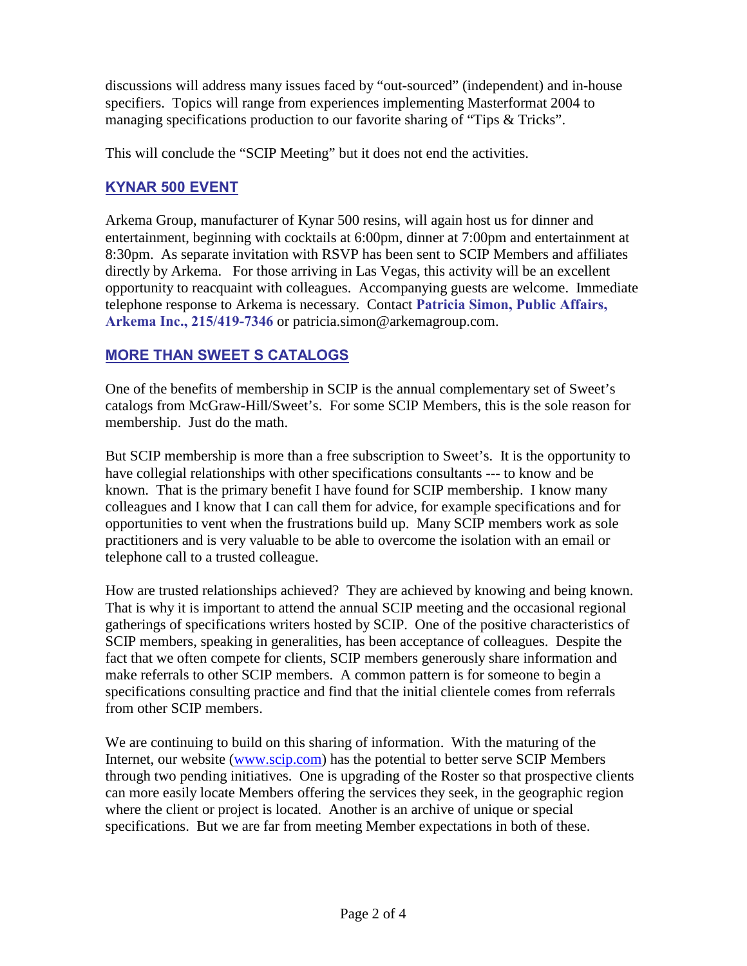discussions will address many issues faced by "out-sourced" (independent) and in-house specifiers. Topics will range from experiences implementing Masterformat 2004 to managing specifications production to our favorite sharing of "Tips & Tricks".

This will conclude the "SCIP Meeting" but it does not end the activities.

## **KYNAR 500 EVENT**

Arkema Group, manufacturer of Kynar 500 resins, will again host us for dinner and entertainment, beginning with cocktails at 6:00pm, dinner at 7:00pm and entertainment at 8:30pm. As separate invitation with RSVP has been sent to SCIP Members and affiliates directly by Arkema. For those arriving in Las Vegas, this activity will be an excellent opportunity to reacquaint with colleagues. Accompanying guests are welcome. Immediate telephone response to Arkema is necessary. Contact **Patricia Simon, Public Affairs, Arkema Inc., 215/419-7346** or patricia.simon@arkemagroup.com.

## **MORE THAN SWEET S CATALOGS**

One of the benefits of membership in SCIP is the annual complementary set of Sweet's catalogs from McGraw-Hill/Sweet's. For some SCIP Members, this is the sole reason for membership. Just do the math.

But SCIP membership is more than a free subscription to Sweet's. It is the opportunity to have collegial relationships with other specifications consultants --- to know and be known. That is the primary benefit I have found for SCIP membership. I know many colleagues and I know that I can call them for advice, for example specifications and for opportunities to vent when the frustrations build up. Many SCIP members work as sole practitioners and is very valuable to be able to overcome the isolation with an email or telephone call to a trusted colleague.

How are trusted relationships achieved? They are achieved by knowing and being known. That is why it is important to attend the annual SCIP meeting and the occasional regional gatherings of specifications writers hosted by SCIP. One of the positive characteristics of SCIP members, speaking in generalities, has been acceptance of colleagues. Despite the fact that we often compete for clients, SCIP members generously share information and make referrals to other SCIP members. A common pattern is for someone to begin a specifications consulting practice and find that the initial clientele comes from referrals from other SCIP members.

We are continuing to build on this sharing of information. With the maturing of the Internet, our website ([www.scip.com\)](http://www.scip.com/) has the potential to better serve SCIP Members through two pending initiatives. One is upgrading of the Roster so that prospective clients can more easily locate Members offering the services they seek, in the geographic region where the client or project is located. Another is an archive of unique or special specifications. But we are far from meeting Member expectations in both of these.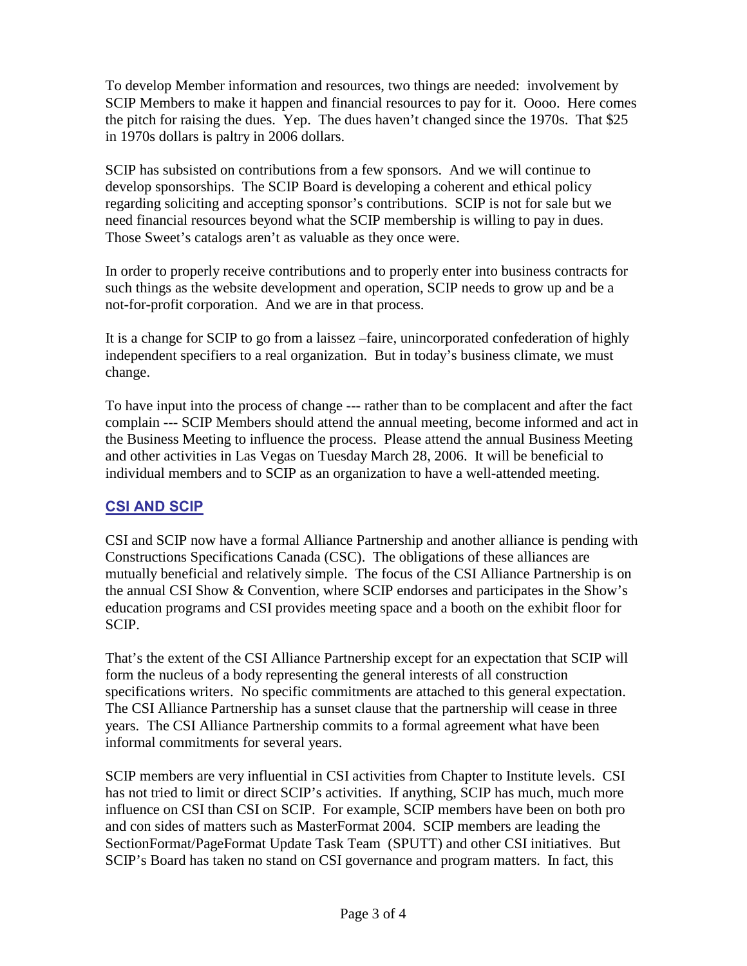To develop Member information and resources, two things are needed: involvement by SCIP Members to make it happen and financial resources to pay for it. Oooo. Here comes the pitch for raising the dues. Yep. The dues haven't changed since the 1970s. That \$25 in 1970s dollars is paltry in 2006 dollars.

SCIP has subsisted on contributions from a few sponsors. And we will continue to develop sponsorships. The SCIP Board is developing a coherent and ethical policy regarding soliciting and accepting sponsor's contributions. SCIP is not for sale but we need financial resources beyond what the SCIP membership is willing to pay in dues. Those Sweet's catalogs aren't as valuable as they once were.

In order to properly receive contributions and to properly enter into business contracts for such things as the website development and operation, SCIP needs to grow up and be a not-for-profit corporation. And we are in that process.

It is a change for SCIP to go from a laissez –faire, unincorporated confederation of highly independent specifiers to a real organization. But in today's business climate, we must change.

To have input into the process of change --- rather than to be complacent and after the fact complain --- SCIP Members should attend the annual meeting, become informed and act in the Business Meeting to influence the process. Please attend the annual Business Meeting and other activities in Las Vegas on Tuesday March 28, 2006. It will be beneficial to individual members and to SCIP as an organization to have a well-attended meeting.

## **CSI AND SCIP**

CSI and SCIP now have a formal Alliance Partnership and another alliance is pending with Constructions Specifications Canada (CSC). The obligations of these alliances are mutually beneficial and relatively simple. The focus of the CSI Alliance Partnership is on the annual CSI Show & Convention, where SCIP endorses and participates in the Show's education programs and CSI provides meeting space and a booth on the exhibit floor for SCIP.

That's the extent of the CSI Alliance Partnership except for an expectation that SCIP will form the nucleus of a body representing the general interests of all construction specifications writers. No specific commitments are attached to this general expectation. The CSI Alliance Partnership has a sunset clause that the partnership will cease in three years. The CSI Alliance Partnership commits to a formal agreement what have been informal commitments for several years.

SCIP members are very influential in CSI activities from Chapter to Institute levels. CSI has not tried to limit or direct SCIP's activities. If anything, SCIP has much, much more influence on CSI than CSI on SCIP. For example, SCIP members have been on both pro and con sides of matters such as MasterFormat 2004. SCIP members are leading the SectionFormat/PageFormat Update Task Team (SPUTT) and other CSI initiatives. But SCIP's Board has taken no stand on CSI governance and program matters. In fact, this